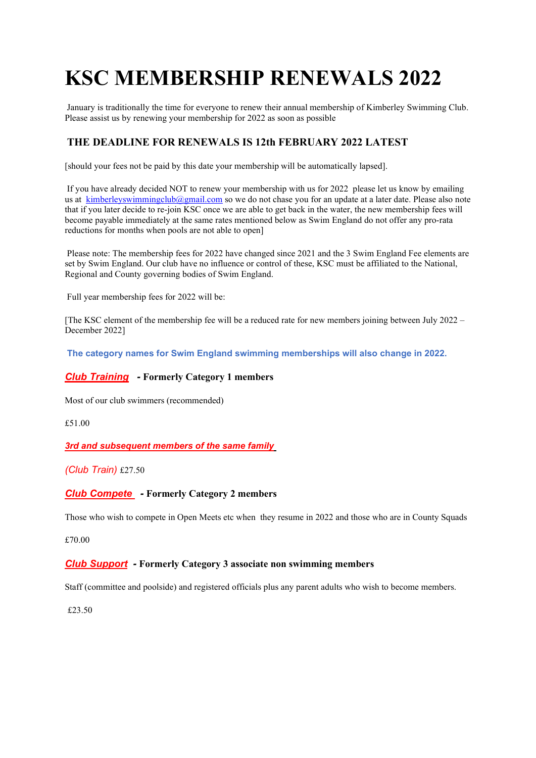# KSC MEMBERSHIP RENEWALS 2022

 January is traditionally the time for everyone to renew their annual membership of Kimberley Swimming Club. Please assist us by renewing your membership for 2022 as soon as possible

### THE DEADLINE FOR RENEWALS IS 12th FEBRUARY 2022 LATEST

[should your fees not be paid by this date your membership will be automatically lapsed].

 If you have already decided NOT to renew your membership with us for 2022 please let us know by emailing us at kimberleyswimmingclub@gmail.com so we do not chase you for an update at a later date. Please also note that if you later decide to re-join KSC once we are able to get back in the water, the new membership fees will become payable immediately at the same rates mentioned below as Swim England do not offer any pro-rata reductions for months when pools are not able to open]

 Please note: The membership fees for 2022 have changed since 2021 and the 3 Swim England Fee elements are set by Swim England. Our club have no influence or control of these, KSC must be affiliated to the National, Regional and County governing bodies of Swim England.

Full year membership fees for 2022 will be:

[The KSC element of the membership fee will be a reduced rate for new members joining between July 2022 – December 2022]

The category names for Swim England swimming memberships will also change in 2022.

#### Club Training - Formerly Category 1 members

Most of our club swimmers (recommended)

£51.00

#### **3rd and subsequent members of the same family**

(Club Train) £27.50

#### Club Compete - Formerly Category 2 members

Those who wish to compete in Open Meets etc when they resume in 2022 and those who are in County Squads

£70.00

#### Club Support - Formerly Category 3 associate non swimming members

Staff (committee and poolside) and registered officials plus any parent adults who wish to become members.

£23.50